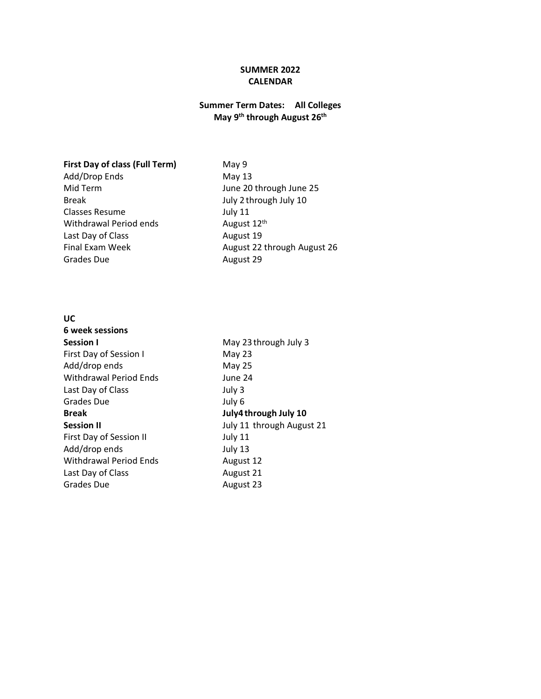## **SUMMER 2022 CALENDAR**

## **Summer Term Dates: All Colleges May 9th through August 26 th**

## **First Day of class (Full Term)** May 9

Add/Drop Ends May 13 Break **Break** July 2 through July 10 Classes Resume July 11 Withdrawal Period ends **August 12<sup>th</sup>** Last Day of Class **August 19**<br>Final Exam Week **August 22** Grades Due **August 29** 

Mid Term June 20 through June 25 August 22 through August 26

## **UC**

| May 23 through July 3     |
|---------------------------|
| May 23                    |
| May 25                    |
| June 24                   |
| July 3                    |
| July 6                    |
| July4 through July 10     |
| July 11 through August 21 |
| July 11                   |
| July 13                   |
| August 12                 |
| August 21                 |
| August 23                 |
|                           |